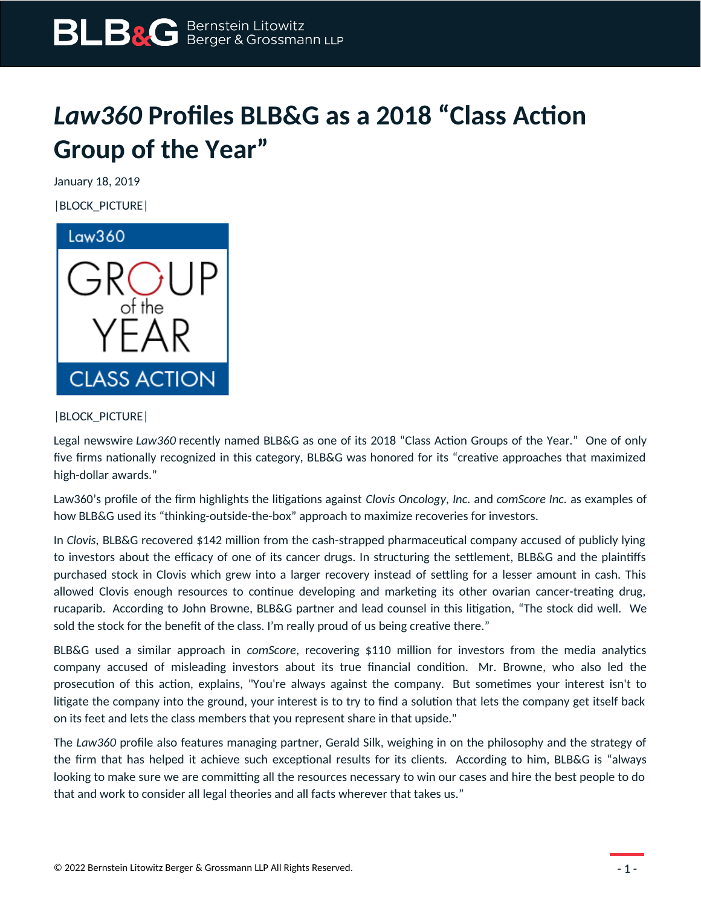## *Law360* **Profiles BLB&G as a 2018 "Class Action Group of the Year"**

January 18, 2019

|BLOCK\_PICTURE|



## |BLOCK\_PICTURE|

Legal newswire *Law360* recently named BLB&G as one of its 2018 "Class Action Groups of the Year." One of only five firms nationally recognized in this category, BLB&G was honored for its "creative approaches that maximized high-dollar awards."

Law360's profile of the firm highlights the litigations against *Clovis Oncology, Inc.* and *comScore Inc.* as examples of how BLB&G used its "thinking-outside-the-box" approach to maximize recoveries for investors.

In *Clovis,* BLB&G recovered \$142 million from the cash-strapped pharmaceutical company accused of publicly lying to investors about the efficacy of one of its cancer drugs. In structuring the settlement, BLB&G and the plaintiffs purchased stock in Clovis which grew into a larger recovery instead of settling for a lesser amount in cash. This allowed Clovis enough resources to continue developing and marketing its other ovarian cancer-treating drug, rucaparib. According to John Browne, BLB&G partner and lead counsel in this litigation, "The stock did well. We sold the stock for the benefit of the class. I'm really proud of us being creative there."

BLB&G used a similar approach in *comScore*, recovering \$110 million for investors from the media analytics company accused of misleading investors about its true financial condition. Mr. Browne, who also led the prosecution of this action, explains, "You're always against the company. But sometimes your interest isn't to litigate the company into the ground, your interest is to try to find a solution that lets the company get itself back on its feet and lets the class members that you represent share in that upside."

The *Law360* profile also features managing partner, Gerald Silk, weighing in on the philosophy and the strategy of the firm that has helped it achieve such exceptional results for its clients. According to him, BLB&G is "always looking to make sure we are committing all the resources necessary to win our cases and hire the best people to do that and work to consider all legal theories and all facts wherever that takes us."